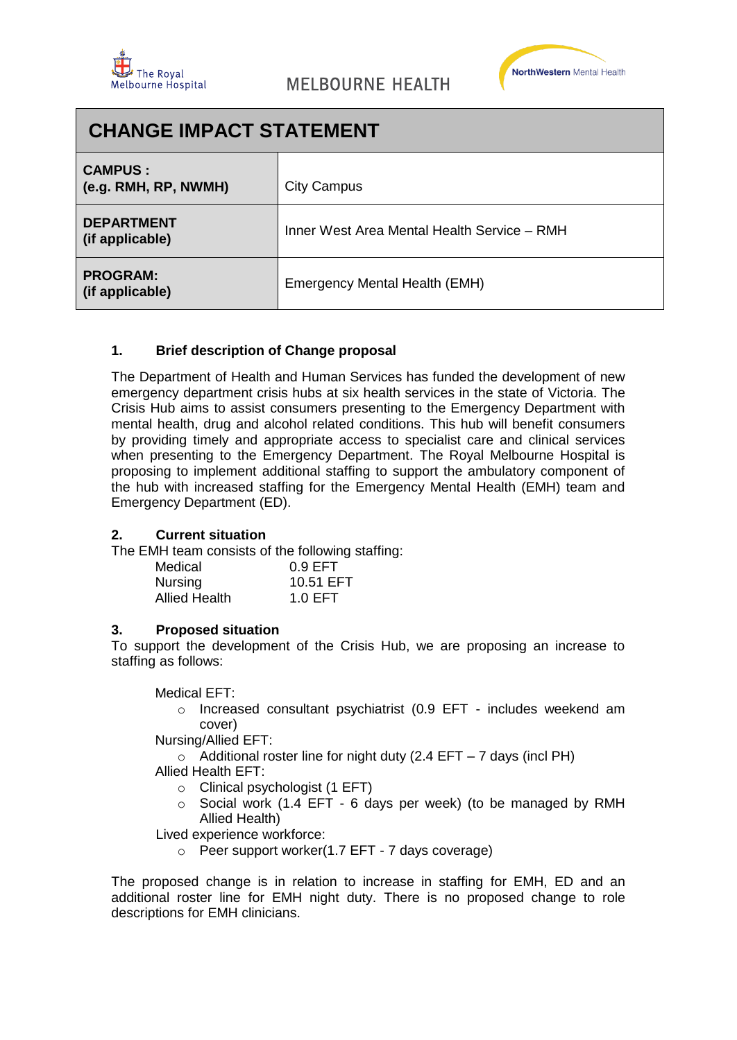



| <b>CHANGE IMPACT STATEMENT</b>         |                                             |  |
|----------------------------------------|---------------------------------------------|--|
| <b>CAMPUS:</b><br>(e.g. RMH, RP, NWMH) | <b>City Campus</b>                          |  |
| <b>DEPARTMENT</b><br>(if applicable)   | Inner West Area Mental Health Service - RMH |  |
| <b>PROGRAM:</b><br>(if applicable)     | Emergency Mental Health (EMH)               |  |

# **1. Brief description of Change proposal**

The Department of Health and Human Services has funded the development of new emergency department crisis hubs at six health services in the state of Victoria. The Crisis Hub aims to assist consumers presenting to the Emergency Department with mental health, drug and alcohol related conditions. This hub will benefit consumers by providing timely and appropriate access to specialist care and clinical services when presenting to the Emergency Department. The Royal Melbourne Hospital is proposing to implement additional staffing to support the ambulatory component of the hub with increased staffing for the Emergency Mental Health (EMH) team and Emergency Department (ED).

# **2. Current situation**

The EMH team consists of the following staffing:

| Medical              | $0.9$ EFT |
|----------------------|-----------|
| Nursing              | 10.51 EFT |
| <b>Allied Health</b> | 1.0EFT    |

#### **3. Proposed situation**

To support the development of the Crisis Hub, we are proposing an increase to staffing as follows:

Medical EFT:

o Increased consultant psychiatrist (0.9 EFT - includes weekend am cover)

Nursing/Allied EFT:

 $\circ$  Additional roster line for night duty (2.4 EFT – 7 days (incl PH)

- Allied Health EFT:
	- $\circ$  Clinical psychologist (1 EFT)
	- o Social work (1.4 EFT 6 days per week) (to be managed by RMH Allied Health)

Lived experience workforce:

o Peer support worker(1.7 EFT - 7 days coverage)

The proposed change is in relation to increase in staffing for EMH, ED and an additional roster line for EMH night duty. There is no proposed change to role descriptions for EMH clinicians.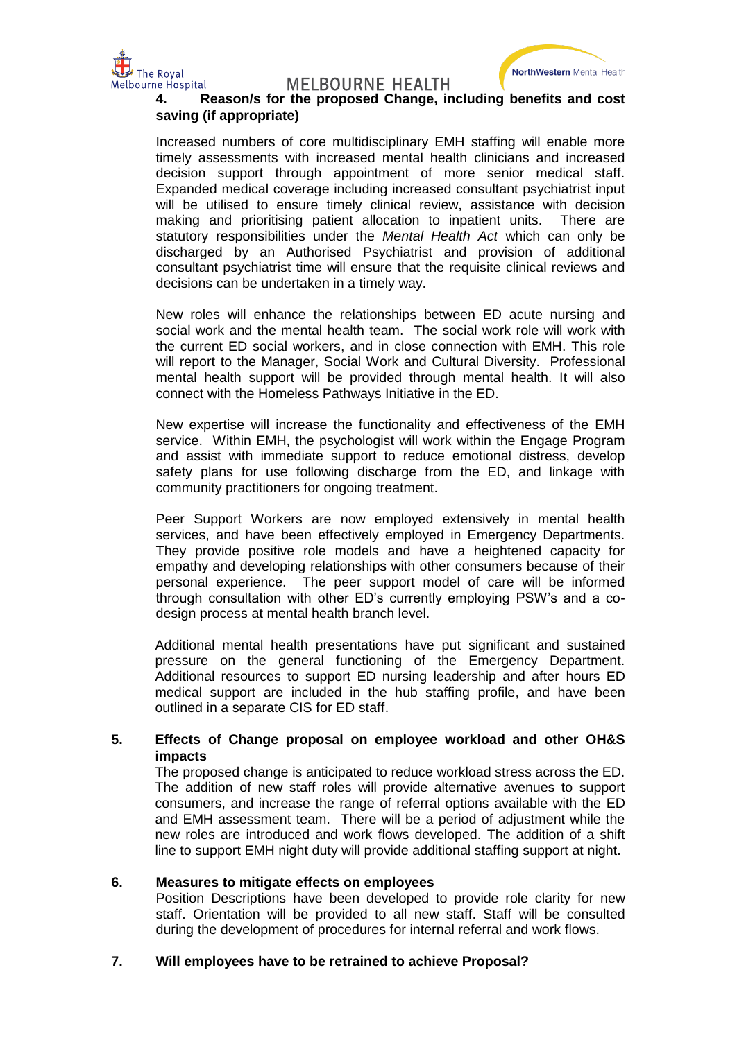

**MELBOURNE HEALTH** 



# **4. Reason/s for the proposed Change, including benefits and cost saving (if appropriate)**

Increased numbers of core multidisciplinary EMH staffing will enable more timely assessments with increased mental health clinicians and increased decision support through appointment of more senior medical staff. Expanded medical coverage including increased consultant psychiatrist input will be utilised to ensure timely clinical review, assistance with decision making and prioritising patient allocation to inpatient units. There are statutory responsibilities under the *Mental Health Act* which can only be discharged by an Authorised Psychiatrist and provision of additional consultant psychiatrist time will ensure that the requisite clinical reviews and decisions can be undertaken in a timely way.

New roles will enhance the relationships between ED acute nursing and social work and the mental health team. The social work role will work with the current ED social workers, and in close connection with EMH. This role will report to the Manager, Social Work and Cultural Diversity. Professional mental health support will be provided through mental health. It will also connect with the Homeless Pathways Initiative in the ED.

New expertise will increase the functionality and effectiveness of the EMH service. Within EMH, the psychologist will work within the Engage Program and assist with immediate support to reduce emotional distress, develop safety plans for use following discharge from the ED, and linkage with community practitioners for ongoing treatment.

Peer Support Workers are now employed extensively in mental health services, and have been effectively employed in Emergency Departments. They provide positive role models and have a heightened capacity for empathy and developing relationships with other consumers because of their personal experience. The peer support model of care will be informed through consultation with other ED's currently employing PSW's and a codesign process at mental health branch level.

Additional mental health presentations have put significant and sustained pressure on the general functioning of the Emergency Department. Additional resources to support ED nursing leadership and after hours ED medical support are included in the hub staffing profile, and have been outlined in a separate CIS for ED staff.

# **5. Effects of Change proposal on employee workload and other OH&S impacts**

The proposed change is anticipated to reduce workload stress across the ED. The addition of new staff roles will provide alternative avenues to support consumers, and increase the range of referral options available with the ED and EMH assessment team. There will be a period of adjustment while the new roles are introduced and work flows developed. The addition of a shift line to support EMH night duty will provide additional staffing support at night.

# **6. Measures to mitigate effects on employees**

Position Descriptions have been developed to provide role clarity for new staff. Orientation will be provided to all new staff. Staff will be consulted during the development of procedures for internal referral and work flows.

# **7. Will employees have to be retrained to achieve Proposal?**